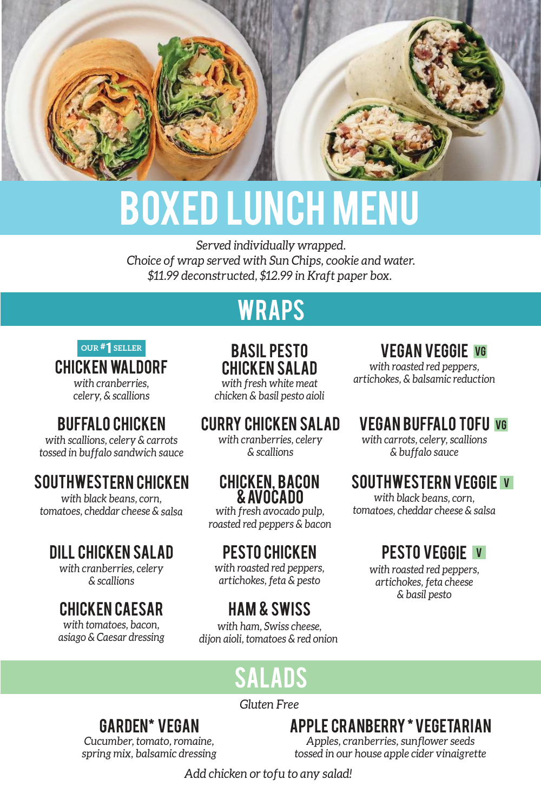

# BOXED LUNCH MENU

*Served individually wrapped. Choice of wrap served with Sun Chips, cookie and water. \$11.99 deconstructed, \$12.99 in Kraft paper box.* 

## WRAPS

chicken waldorf *with cranberries, celery, & scallions* # **OUR** 1 **SELLER**

## buffalo chicken

*with scallions, celery & carrots tossed in buffalo sandwich sauce*

## SOUTHWESTERN CHICKEN

*with black beans, corn, tomatoes, cheddar cheese & salsa*

## Dill Chicken Salad

*with cranberries, celery & scallions*

## chicken caesar

*with tomatoes, bacon, asiago & Caesar dressing*

BASIL PESTO CHICKEN SALAD *with fresh white meat chicken & basil pesto aioli*

## CURRY Chicken Salad

*with cranberries, celery & scallions*

#### chicken, Bacon & Avocado

*with fresh avocado pulp, roasted red peppers & bacon*

## pesto chicken

*with roasted red peppers, artichokes, feta & pesto*

## HAM & SWISS

*with ham, Swiss cheese, dijon aioli, tomatoes & red onion* 

#### VEGAN VEGGIE VG

*with roasted red peppers, artichokes, & balsamic reduction*

## VEGAN buffalo tofu VG

*with carrots, celery, scallions & buffalo sauce*

#### SOUTHWESTERN VEGGIE V

*with black beans, corn, tomatoes, cheddar cheese & salsa*

## pesto VEGGIE <sup>V</sup>

*with roasted red peppers, artichokes, feta cheese & basil pesto*

## SALADS

*Gluten Free*

## Garden\* vegan

*Cucumber, tomato, romaine, spring mix, balsamic dressing* Apple cranberry \* vegetarian *Apples, cranberries, sunflower seeds tossed in our house apple cider vinaigrette*

*Add chicken or tofu to any salad!*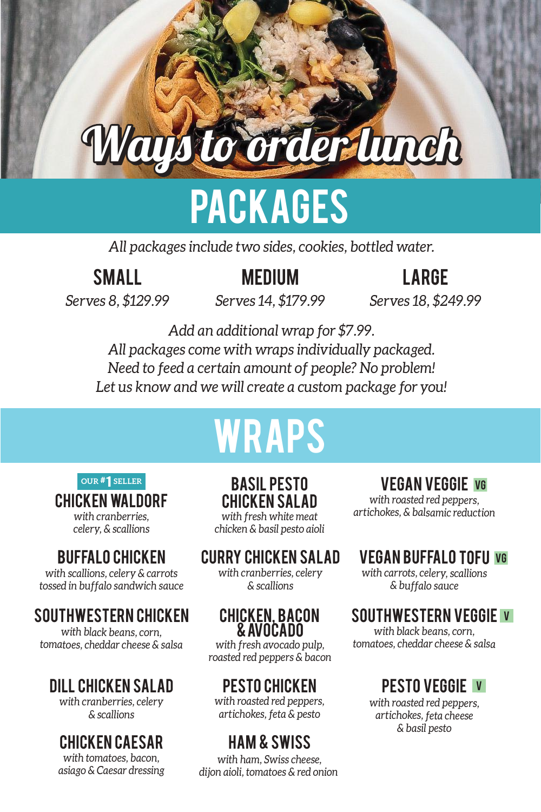# Ways to order lunch

## **PACKAGES**

*All packages include two sides, cookies, bottled water.*

## small

## **MEDIUM**

## large

*Serves 8, \$129.99*

*Serves 14, \$179.99*

*Serves 18, \$249.99*

*Add an additional wrap for \$7.99. All packages come with wraps individually packaged. Need to feed a certain amount of people? No problem! Let us know and we will create a custom package for you!*

# WRAPS

#### # **OUR** 1 **SELLER**

## chicken waldorf

*with cranberries, celery, & scallions*

## buffalo chicken

*with scallions, celery & carrots tossed in buffalo sandwich sauce*

## SOUTHWESTERN CHICKEN

*with black beans, corn, tomatoes, cheddar cheese & salsa*

## Dill Chicken Salad

*with cranberries, celery & scallions*

## chicken caesar

*with tomatoes, bacon, asiago & Caesar dressing*

BASIL PESTO CHICKEN SALAD *with fresh white meat*

*chicken & basil pesto aioli*

## CURRY Chicken Salad

*with cranberries, celery & scallions*

#### chicken, Bacon & Avocado

*with fresh avocado pulp, roasted red peppers & bacon*

## pesto chicken

*with roasted red peppers, artichokes, feta & pesto*

## HAM & SWISS

*with ham, Swiss cheese, dijon aioli, tomatoes & red onion* 

## VEGAN VEGGIE VG

*with roasted red peppers, artichokes, & balsamic reduction*

## VEGAN buffalo tofu VG

*with carrots, celery, scallions & buffalo sauce*

## SOUTHWESTERN VEGGIE V

*with black beans, corn, tomatoes, cheddar cheese & salsa*

## pesto VEGGIE <sup>V</sup>

*with roasted red peppers, artichokes, feta cheese & basil pesto*